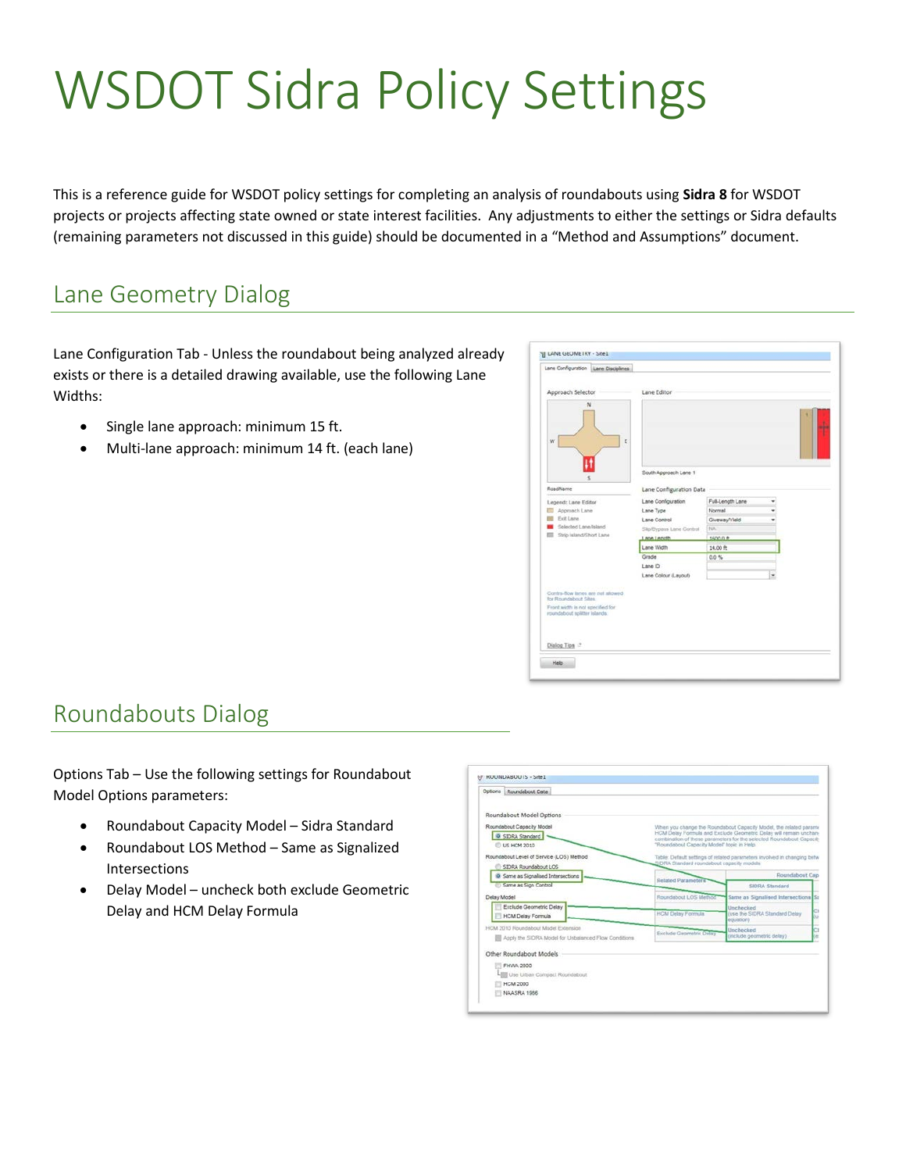# WSDOT Sidra Policy Settings

This is a reference guide for WSDOT policy settings for completing an analysis of roundabouts using **Sidra 8** for WSDOT projects or projects affecting state owned or state interest facilities. Any adjustments to either the settings or Sidra defaults (remaining parameters not discussed in this guide) should be documented in a "Method and Assumptions" document.

## Lane Geometry Dialog

Lane Configuration Tab - Unless the roundabout being analyzed already exists or there is a detailed drawing available, use the following Lane Widths:

- Single lane approach: minimum 15 ft.
- Multi-lane approach: minimum 14 ft. (each lane)

| Lane Configuration   Lane Disciplines                                                     |           |                                          |                     |   |  |
|-------------------------------------------------------------------------------------------|-----------|------------------------------------------|---------------------|---|--|
| Approach Selector                                                                         |           | Lane Editor                              |                     |   |  |
| N<br>w                                                                                    | E         |                                          |                     |   |  |
| RoadName                                                                                  |           | South Approach Lane 1                    |                     |   |  |
|                                                                                           |           | Lane Configuration Data                  |                     |   |  |
| Legend: Lane Editor                                                                       |           | Lane Configuration                       | Full-Length Lane    |   |  |
| Approach Lane<br>Exit Lane                                                                | Lane Type |                                          | Normal              |   |  |
| Selected Lane/Island                                                                      |           | Lane Control<br>Slip/Bypass Lane Control | Giveway/Vield<br>NA |   |  |
| Ship Island/Short Lane                                                                    |           | Lane Length                              | 1600.0 ft           |   |  |
|                                                                                           |           | Lane Width                               | 14.00 升             |   |  |
|                                                                                           | Grade     |                                          | $0.0\%$             |   |  |
|                                                                                           | Lane ID   |                                          |                     |   |  |
|                                                                                           |           | Lane Colour (Layout)                     |                     | ü |  |
| Contra-flow lanes are not allowed.                                                        |           |                                          |                     |   |  |
| for Roundabout Sites.<br>Front width is not specified for<br>roundabout splitter islands. |           |                                          |                     |   |  |
| Dialog Tips :?                                                                            |           |                                          |                     |   |  |

### Roundabouts Dialog

Options Tab – Use the following settings for Roundabout Model Options parameters:

- Roundabout Capacity Model Sidra Standard
- Roundabout LOS Method Same as Signalized Intersections
- Delay Model uncheck both exclude Geometric Delay and HCM Delay Formula

| Options Roundabout Data                                                                               |                                            |                                                                                                                                                                                                                |  |
|-------------------------------------------------------------------------------------------------------|--------------------------------------------|----------------------------------------------------------------------------------------------------------------------------------------------------------------------------------------------------------------|--|
| Roundabout Model Options                                                                              |                                            |                                                                                                                                                                                                                |  |
| Roundabout Capacity Model<br>C SIDRA Standard<br><b>US HCM 2010</b>                                   | "Roundabout Capacity Model" topic in Help. | When you change the Roundabout Capacity Model, the related parami<br>HCM Delay Formula and Exclude Geometric Delay will remain unchan-<br>combination of these parameters for the selected Roundabout Capacity |  |
| Roundabout Level of Service (LOS) Method<br>StDRA Roundabout LOS                                      | SIDRA Standard roundabout capacity models  | Table: Default settings of related parameters involved in changing betw                                                                                                                                        |  |
| C Same as Signalised Intersections                                                                    | <b>Related Parameters</b>                  | Roundabout Cap                                                                                                                                                                                                 |  |
| Same as Sign Control                                                                                  |                                            | SIDRA Standard                                                                                                                                                                                                 |  |
| Delay Model                                                                                           | Roundabout LOS Method                      | Same as Signalised Intersections St                                                                                                                                                                            |  |
| Exclude Geometric Delay<br><b>HCM Delay Formula</b>                                                   | <b>HCM Delay Formula</b>                   | Unchecked<br>(use the SIDRA Standard Delay)<br>equation)                                                                                                                                                       |  |
| HCM 2010 Roundabout Model Extension<br><b>ED</b> Apply the SIDRA Model for Unbalanced Flow Conditions | Exclude Geometric Delay                    | Unchecked<br>(include geometric delay)                                                                                                                                                                         |  |
| Other Roundabout Models                                                                               |                                            |                                                                                                                                                                                                                |  |
| FHWA 2000<br>LI Use Urban Compact Roundabout                                                          |                                            |                                                                                                                                                                                                                |  |
| HCM 2000                                                                                              |                                            |                                                                                                                                                                                                                |  |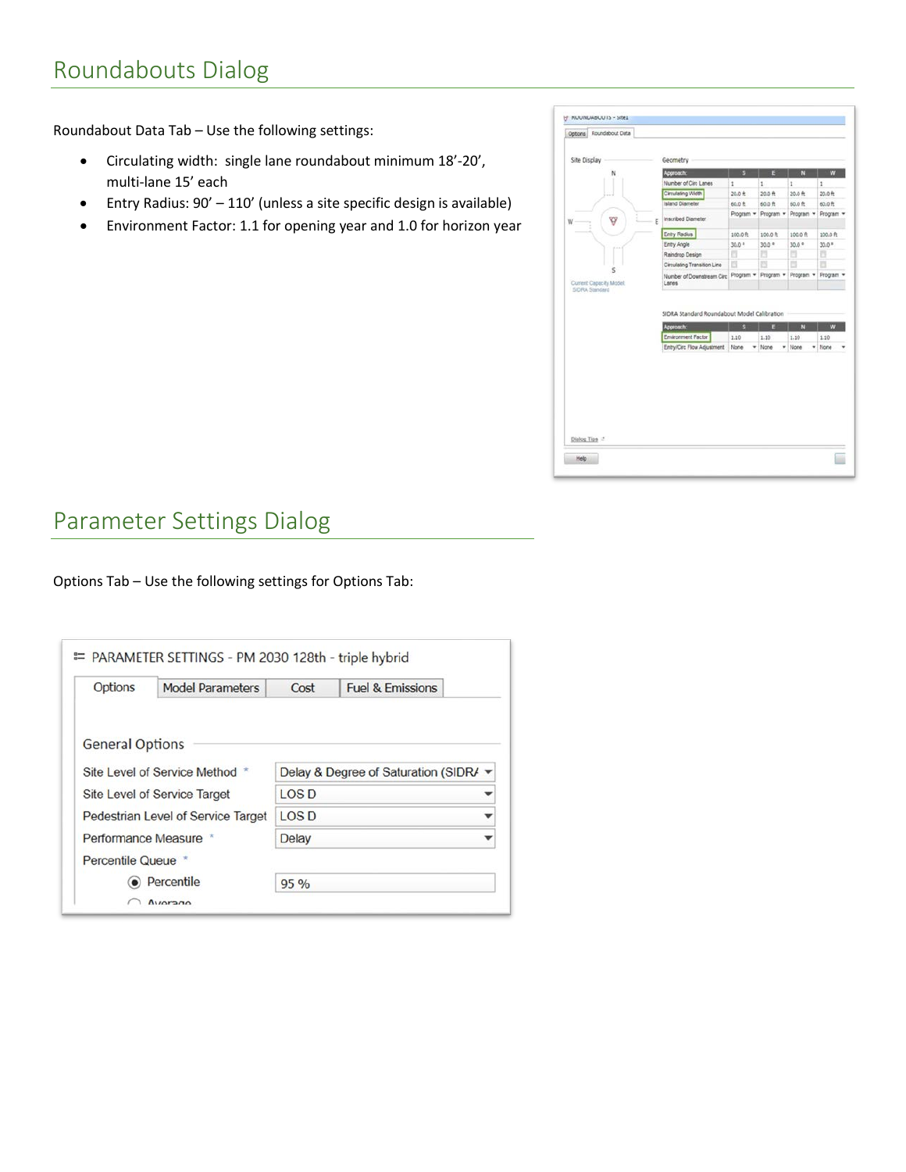## Roundabouts Dialog

Roundabout Data Tab – Use the following settings:

- Circulating width: single lane roundabout minimum 18'-20', multi-lane 15' each
- Entry Radius: 90' 110' (unless a site specific design is available)
- Environment Factor: 1.1 for opening year and 1.0 for horizon year



## Parameter Settings Dialog

Options Tab – Use the following settings for Options Tab:

| Options                            | <b>Model Parameters</b> | Cost                                | <b>Fuel &amp; Emissions</b> |  |
|------------------------------------|-------------------------|-------------------------------------|-----------------------------|--|
|                                    |                         |                                     |                             |  |
| <b>General Options</b>             |                         |                                     |                             |  |
|                                    |                         |                                     |                             |  |
| Site Level of Service Method *     |                         | Delay & Degree of Saturation (SIDR/ |                             |  |
| Site Level of Service Target       |                         | $\overline{A}$                      |                             |  |
| Pedestrian Level of Service Target |                         | $\textcolor{blue}{\text{LOS}}$ D    |                             |  |
| Performance Measure *              |                         | <b>Delay</b>                        |                             |  |
| Percentile Queue *                 |                         |                                     |                             |  |
| $\bullet$ Percentile               |                         | 95 %                                |                             |  |
|                                    |                         |                                     |                             |  |